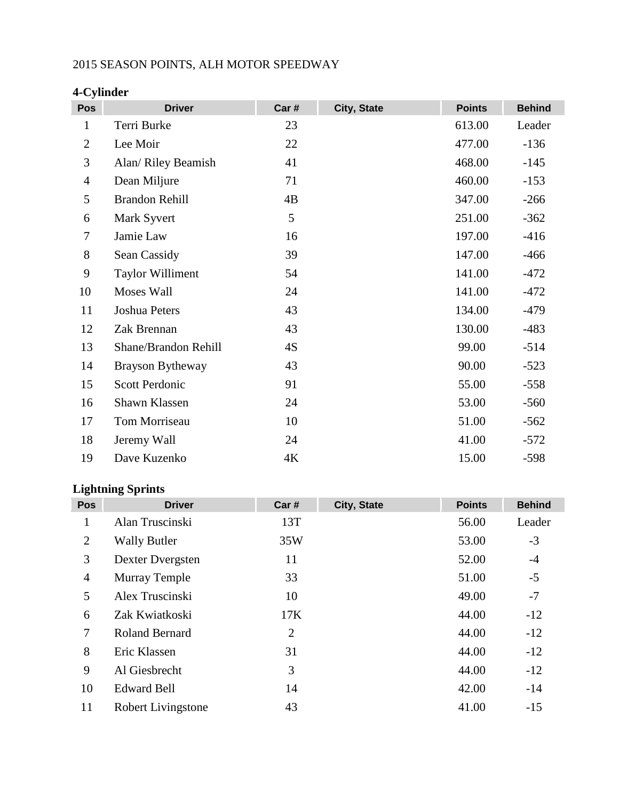# 2015 SEASON POINTS, ALH MOTOR SPEEDWAY

| Pos            | <b>Driver</b>           | Car# | City, State | <b>Points</b> | <b>Behind</b> |
|----------------|-------------------------|------|-------------|---------------|---------------|
| $\mathbf{1}$   | Terri Burke             | 23   |             | 613.00        | Leader        |
| $\overline{2}$ | Lee Moir                | 22   |             | 477.00        | $-136$        |
| 3              | Alan/ Riley Beamish     | 41   |             | 468.00        | $-145$        |
| $\overline{4}$ | Dean Miljure            | 71   |             | 460.00        | $-153$        |
| 5              | <b>Brandon Rehill</b>   | 4B   |             | 347.00        | $-266$        |
| 6              | Mark Syvert             | 5    |             | 251.00        | $-362$        |
| 7              | Jamie Law               | 16   |             | 197.00        | $-416$        |
| $8\,$          | Sean Cassidy            | 39   |             | 147.00        | $-466$        |
| 9              | <b>Taylor Williment</b> | 54   |             | 141.00        | $-472$        |
| 10             | Moses Wall              | 24   |             | 141.00        | $-472$        |
| 11             | Joshua Peters           | 43   |             | 134.00        | $-479$        |
| 12             | Zak Brennan             | 43   |             | 130.00        | $-483$        |
| 13             | Shane/Brandon Rehill    | 4S   |             | 99.00         | $-514$        |
| 14             | Brayson Bytheway        | 43   |             | 90.00         | $-523$        |
| 15             | Scott Perdonic          | 91   |             | 55.00         | $-558$        |
| 16             | Shawn Klassen           | 24   |             | 53.00         | $-560$        |
| 17             | Tom Morriseau           | 10   |             | 51.00         | $-562$        |
| 18             | Jeremy Wall             | 24   |             | 41.00         | $-572$        |
| 19             | Dave Kuzenko            | 4K   |             | 15.00         | $-598$        |

### **4-Cylinder**

# **Lightning Sprints**

| Pos                      | <b>Driver</b>             | Car #          | City, State | <b>Points</b> | <b>Behind</b> |
|--------------------------|---------------------------|----------------|-------------|---------------|---------------|
| 1                        | Alan Truscinski           | 13T            |             | 56.00         | Leader        |
| $\overline{2}$           | <b>Wally Butler</b>       | 35W            |             | 53.00         | $-3$          |
| 3                        | Dexter Dvergsten          | 11             |             | 52.00         | $-4$          |
| $\overline{4}$           | <b>Murray Temple</b>      | 33             |             | 51.00         | $-5$          |
| 5                        | Alex Truscinski           | 10             |             | 49.00         | $-7$          |
| 6                        | Zak Kwiatkoski            | 17K            |             | 44.00         | $-12$         |
| $\overline{\mathcal{L}}$ | <b>Roland Bernard</b>     | $\overline{2}$ |             | 44.00         | $-12$         |
| 8                        | Eric Klassen              | 31             |             | 44.00         | $-12$         |
| 9                        | Al Giesbrecht             | 3              |             | 44.00         | $-12$         |
| 10                       | <b>Edward Bell</b>        | 14             |             | 42.00         | $-14$         |
| 11                       | <b>Robert Livingstone</b> | 43             |             | 41.00         | $-15$         |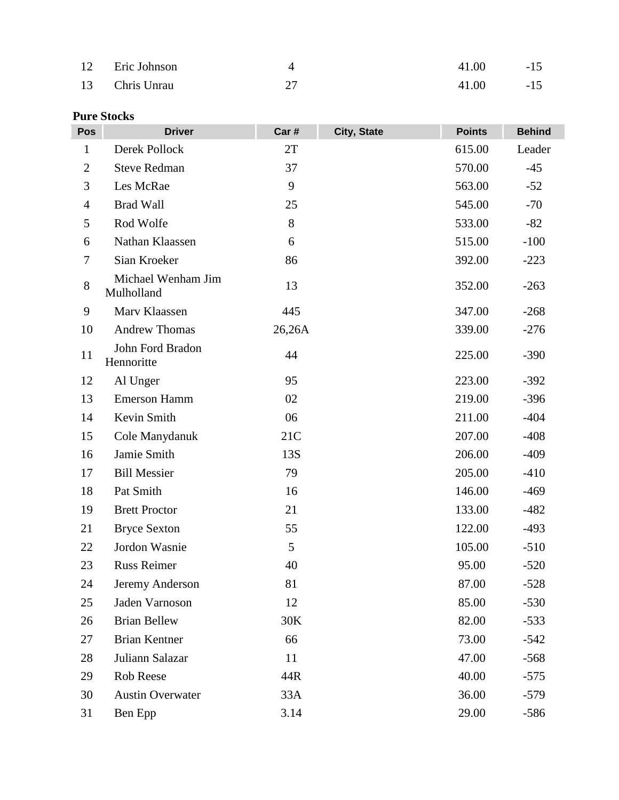| 12 Eric Johnson | 41.00 | $-15$ |
|-----------------|-------|-------|
| 13 Chris Unrau  | 41.00 | $-15$ |

## **Pure Stocks**

| Pos            | <b>Driver</b>                    | Car#   | City, State | <b>Points</b> | <b>Behind</b> |
|----------------|----------------------------------|--------|-------------|---------------|---------------|
| $\mathbf{1}$   | Derek Pollock                    | 2T     |             | 615.00        | Leader        |
| $\overline{2}$ | <b>Steve Redman</b>              | 37     |             | 570.00        | $-45$         |
| 3              | Les McRae                        | 9      |             | 563.00        | $-52$         |
| $\overline{4}$ | <b>Brad Wall</b>                 | 25     |             | 545.00        | $-70$         |
| 5              | Rod Wolfe                        | 8      |             | 533.00        | $-82$         |
| 6              | Nathan Klaassen                  | 6      |             | 515.00        | $-100$        |
| 7              | Sian Kroeker                     | 86     |             | 392.00        | $-223$        |
| $8\,$          | Michael Wenham Jim<br>Mulholland | 13     |             | 352.00        | $-263$        |
| 9              | Marv Klaassen                    | 445    |             | 347.00        | $-268$        |
| 10             | <b>Andrew Thomas</b>             | 26,26A |             | 339.00        | $-276$        |
| 11             | John Ford Bradon<br>Hennoritte   | 44     |             | 225.00        | $-390$        |
| 12             | Al Unger                         | 95     |             | 223.00        | $-392$        |
| 13             | <b>Emerson Hamm</b>              | 02     |             | 219.00        | $-396$        |
| 14             | Kevin Smith                      | 06     |             | 211.00        | $-404$        |
| 15             | Cole Manydanuk                   | 21C    |             | 207.00        | $-408$        |
| 16             | Jamie Smith                      | 13S    |             | 206.00        | $-409$        |
| 17             | <b>Bill Messier</b>              | 79     |             | 205.00        | $-410$        |
| 18             | Pat Smith                        | 16     |             | 146.00        | $-469$        |
| 19             | <b>Brett Proctor</b>             | 21     |             | 133.00        | $-482$        |
| 21             | <b>Bryce Sexton</b>              | 55     |             | 122.00        | $-493$        |
| 22             | Jordon Wasnie                    | 5      |             | 105.00        | $-510$        |
| 23             | <b>Russ Reimer</b>               | 40     |             | 95.00         | $-520$        |
| 24             | Jeremy Anderson                  | 81     |             | 87.00         | $-528$        |
| 25             | Jaden Varnoson                   | 12     |             | 85.00         | $-530$        |
| 26             | <b>Brian Bellew</b>              | 30K    |             | 82.00         | $-533$        |
| 27             | <b>Brian Kentner</b>             | 66     |             | 73.00         | $-542$        |
| 28             | Juliann Salazar                  | 11     |             | 47.00         | $-568$        |
| 29             | Rob Reese                        | 44R    |             | 40.00         | $-575$        |
| 30             | <b>Austin Overwater</b>          | 33A    |             | 36.00         | $-579$        |
| 31             | Ben Epp                          | 3.14   |             | 29.00         | $-586$        |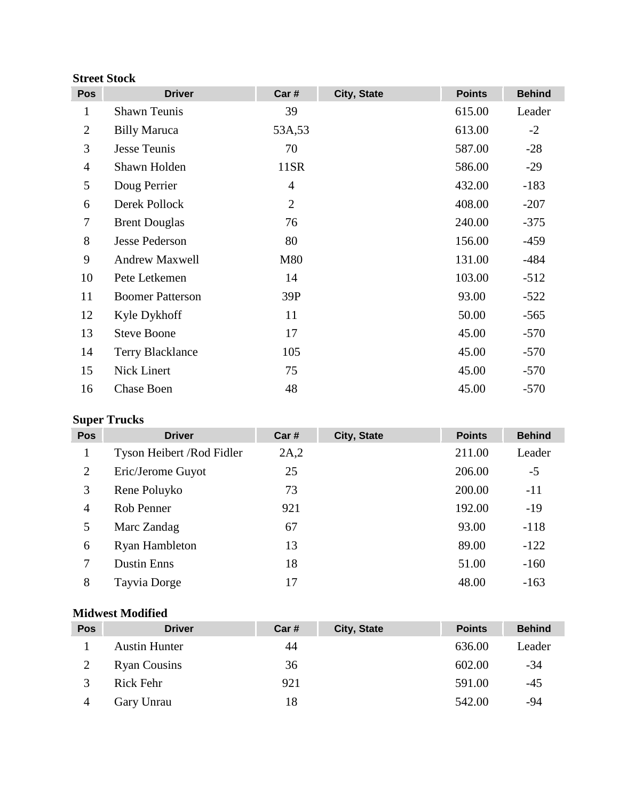#### **Street Stock**

| <b>Driver</b>           | Car #          | City, State | <b>Points</b> | <b>Behind</b> |
|-------------------------|----------------|-------------|---------------|---------------|
| <b>Shawn Teunis</b>     | 39             |             | 615.00        | Leader        |
| <b>Billy Maruca</b>     | 53A,53         |             | 613.00        | $-2$          |
| Jesse Teunis            | 70             |             | 587.00        | $-28$         |
| Shawn Holden            | 11SR           |             | 586.00        | $-29$         |
| Doug Perrier            | $\overline{4}$ |             | 432.00        | $-183$        |
| Derek Pollock           | $\overline{2}$ |             | 408.00        | $-207$        |
| <b>Brent Douglas</b>    | 76             |             | 240.00        | $-375$        |
| <b>Jesse Pederson</b>   | 80             |             | 156.00        | $-459$        |
| <b>Andrew Maxwell</b>   | M80            |             | 131.00        | $-484$        |
| Pete Letkemen           | 14             |             | 103.00        | $-512$        |
| <b>Boomer Patterson</b> | 39P            |             | 93.00         | $-522$        |
| Kyle Dykhoff            | 11             |             | 50.00         | $-565$        |
| <b>Steve Boone</b>      | 17             |             | 45.00         | $-570$        |
| <b>Terry Blacklance</b> | 105            |             | 45.00         | $-570$        |
| Nick Linert             | 75             |             | 45.00         | $-570$        |
| <b>Chase Boen</b>       | 48             |             | 45.00         | $-570$        |
|                         |                |             |               |               |

## **Super Trucks**

| Pos            | <b>Driver</b>              | Car# | City, State | <b>Points</b> | <b>Behind</b> |
|----------------|----------------------------|------|-------------|---------------|---------------|
|                | Tyson Heibert / Rod Fidler | 2A,2 |             | 211.00        | Leader        |
| $\overline{2}$ | Eric/Jerome Guyot          | 25   |             | 206.00        | $-5$          |
| 3              | Rene Poluyko               | 73   |             | 200.00        | $-11$         |
| $\overline{4}$ | Rob Penner                 | 921  |             | 192.00        | $-19$         |
| 5              | Marc Zandag                | 67   |             | 93.00         | $-118$        |
| 6              | <b>Ryan Hambleton</b>      | 13   |             | 89.00         | $-122$        |
| 7              | <b>Dustin Enns</b>         | 18   |             | 51.00         | $-160$        |
| 8              | Tayvia Dorge               | 17   |             | 48.00         | $-163$        |

## **Midwest Modified**

| <b>Pos</b>     | <b>Driver</b>        | Car# | City, State | <b>Points</b> | <b>Behind</b> |
|----------------|----------------------|------|-------------|---------------|---------------|
|                | <b>Austin Hunter</b> | 44   |             | 636.00        | Leader        |
|                | <b>Ryan Cousins</b>  | 36   |             | 602.00        | -34           |
|                | <b>Rick Fehr</b>     | 921  |             | 591.00        | $-45$         |
| $\overline{4}$ | Gary Unrau           | 18   |             | 542.00        | -94           |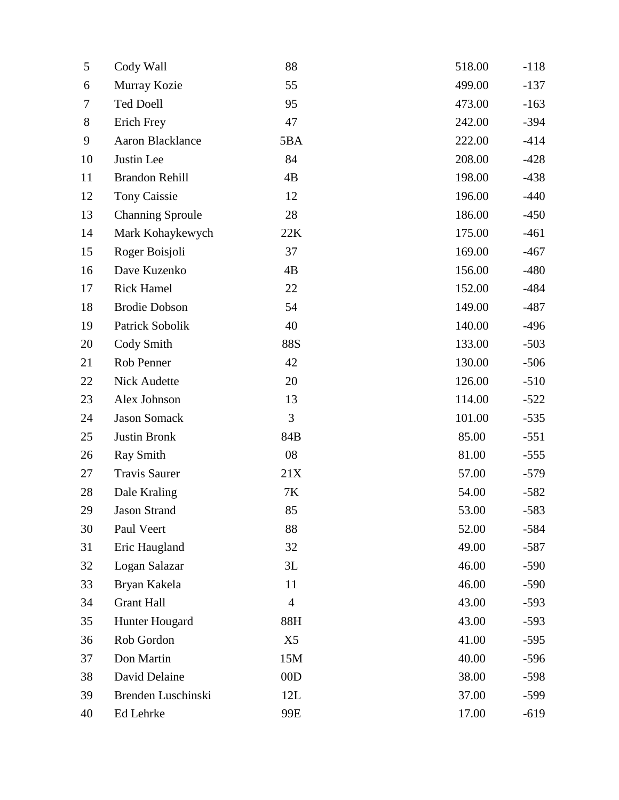| 5                | Cody Wall               | 88             | 518.00 | $-118$ |
|------------------|-------------------------|----------------|--------|--------|
| 6                | Murray Kozie            | 55             | 499.00 | $-137$ |
| 7                | <b>Ted Doell</b>        | 95             | 473.00 | $-163$ |
| 8                | Erich Frey              | 47             | 242.00 | $-394$ |
| $\boldsymbol{9}$ | Aaron Blacklance        | 5BA            | 222.00 | $-414$ |
| 10               | Justin Lee              | 84             | 208.00 | $-428$ |
| 11               | <b>Brandon Rehill</b>   | 4B             | 198.00 | $-438$ |
| 12               | <b>Tony Caissie</b>     | 12             | 196.00 | $-440$ |
| 13               | <b>Channing Sproule</b> | 28             | 186.00 | $-450$ |
| 14               | Mark Kohaykewych        | 22K            | 175.00 | $-461$ |
| 15               | Roger Boisjoli          | 37             | 169.00 | $-467$ |
| 16               | Dave Kuzenko            | 4B             | 156.00 | $-480$ |
| 17               | <b>Rick Hamel</b>       | 22             | 152.00 | $-484$ |
| 18               | <b>Brodie Dobson</b>    | 54             | 149.00 | $-487$ |
| 19               | Patrick Sobolik         | 40             | 140.00 | $-496$ |
| 20               | Cody Smith              | 88S            | 133.00 | $-503$ |
| 21               | Rob Penner              | 42             | 130.00 | $-506$ |
| 22               | Nick Audette            | 20             | 126.00 | $-510$ |
| 23               | Alex Johnson            | 13             | 114.00 | $-522$ |
| 24               | <b>Jason Somack</b>     | 3              | 101.00 | $-535$ |
| 25               | <b>Justin Bronk</b>     | 84B            | 85.00  | $-551$ |
| 26               | <b>Ray Smith</b>        | 08             | 81.00  | $-555$ |
| 27               | <b>Travis Saurer</b>    | 21X            | 57.00  | $-579$ |
| 28               | Dale Kraling            | $7\mathrm{K}$  | 54.00  | $-582$ |
| 29               | Jason Strand            | 85             | 53.00  | -583   |
| 30               | Paul Veert              | 88             | 52.00  | $-584$ |
| 31               | Eric Haugland           | 32             | 49.00  | $-587$ |
| 32               | Logan Salazar           | 3L             | 46.00  | $-590$ |
| 33               | Bryan Kakela            | 11             | 46.00  | $-590$ |
| 34               | <b>Grant Hall</b>       | $\overline{4}$ | 43.00  | $-593$ |
| 35               | Hunter Hougard          | 88H            | 43.00  | $-593$ |
| 36               | Rob Gordon              | X <sub>5</sub> | 41.00  | $-595$ |
| 37               | Don Martin              | 15M            | 40.00  | $-596$ |
| 38               | David Delaine           | 00D            | 38.00  | $-598$ |
| 39               | Brenden Luschinski      | 12L            | 37.00  | $-599$ |
| 40               | Ed Lehrke               | 99E            | 17.00  | $-619$ |